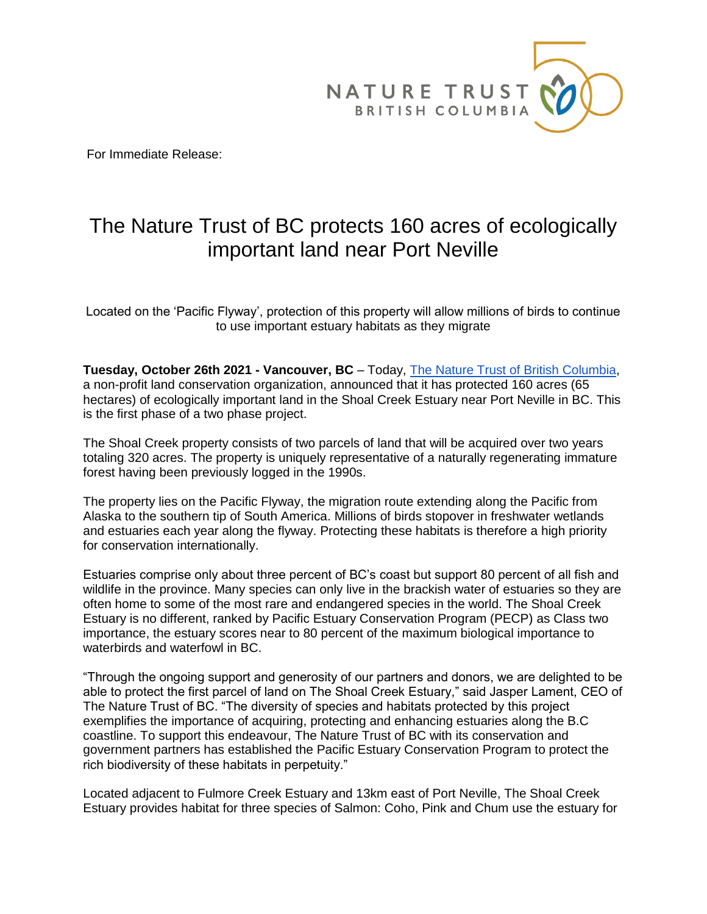

For Immediate Release:

## The Nature Trust of BC protects 160 acres of ecologically important land near Port Neville

Located on the 'Pacific Flyway', protection of this property will allow millions of birds to continue to use important estuary habitats as they migrate

**Tuesday, October 26th 2021 - Vancouver, BC** – Today, [The Nature Trust of British Columbia,](https://www.naturetrust.bc.ca/) a non-profit land conservation organization, announced that it has protected 160 acres (65 hectares) of ecologically important land in the Shoal Creek Estuary near Port Neville in BC. This is the first phase of a two phase project.

The Shoal Creek property consists of two parcels of land that will be acquired over two years totaling 320 acres. The property is uniquely representative of a naturally regenerating immature forest having been previously logged in the 1990s.

The property lies on the Pacific Flyway, the migration route extending along the Pacific from Alaska to the southern tip of South America. Millions of birds stopover in freshwater wetlands and estuaries each year along the flyway. Protecting these habitats is therefore a high priority for conservation internationally.

Estuaries comprise only about three percent of BC's coast but support 80 percent of all fish and wildlife in the province. Many species can only live in the brackish water of estuaries so they are often home to some of the most rare and endangered species in the world. The Shoal Creek Estuary is no different, ranked by Pacific Estuary Conservation Program (PECP) as Class two importance, the estuary scores near to 80 percent of the maximum biological importance to waterbirds and waterfowl in BC.

"Through the ongoing support and generosity of our partners and donors, we are delighted to be able to protect the first parcel of land on The Shoal Creek Estuary," said Jasper Lament, CEO of The Nature Trust of BC. "The diversity of species and habitats protected by this project exemplifies the importance of acquiring, protecting and enhancing estuaries along the B.C coastline. To support this endeavour, The Nature Trust of BC with its conservation and government partners has established the Pacific Estuary Conservation Program to protect the rich biodiversity of these habitats in perpetuity."

Located adjacent to Fulmore Creek Estuary and 13km east of Port Neville, The Shoal Creek Estuary provides habitat for three species of Salmon: Coho, Pink and Chum use the estuary for